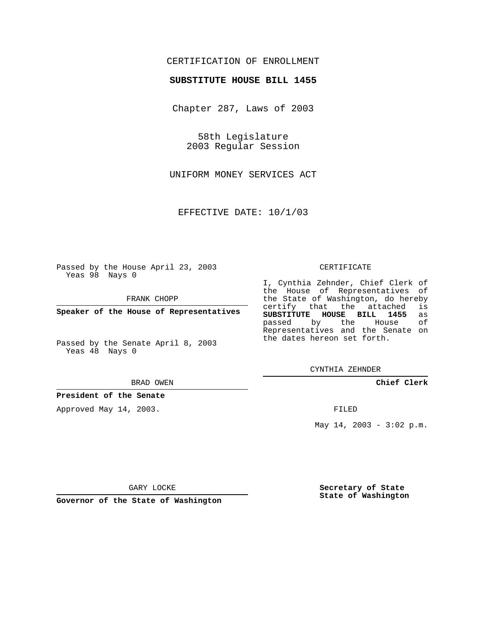# CERTIFICATION OF ENROLLMENT

## **SUBSTITUTE HOUSE BILL 1455**

Chapter 287, Laws of 2003

58th Legislature 2003 Regular Session

UNIFORM MONEY SERVICES ACT

EFFECTIVE DATE: 10/1/03

Passed by the House April 23, 2003 Yeas 98 Nays 0

FRANK CHOPP

**Speaker of the House of Representatives**

Passed by the Senate April 8, 2003 Yeas 48 Nays 0

#### BRAD OWEN

**President of the Senate**

Approved May 14, 2003.

#### CERTIFICATE

I, Cynthia Zehnder, Chief Clerk of the House of Representatives of the State of Washington, do hereby<br>certify that the attached is certify that the attached **SUBSTITUTE HOUSE BILL 1455** as passed by the Representatives and the Senate on the dates hereon set forth.

CYNTHIA ZEHNDER

**Chief Clerk**

FILED

May 14, 2003 - 3:02 p.m.

GARY LOCKE

**Governor of the State of Washington**

**Secretary of State State of Washington**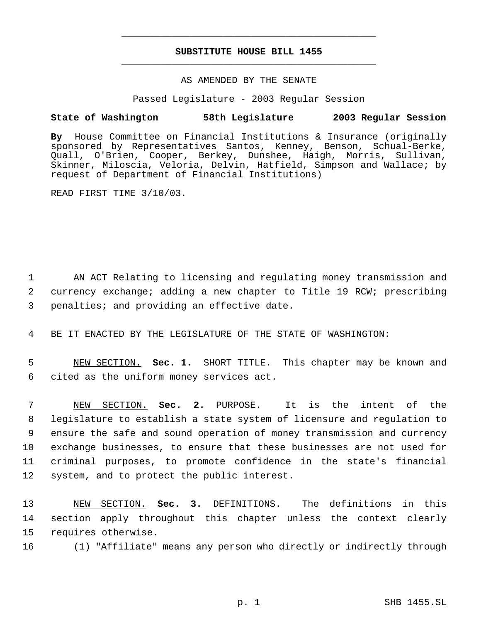# **SUBSTITUTE HOUSE BILL 1455** \_\_\_\_\_\_\_\_\_\_\_\_\_\_\_\_\_\_\_\_\_\_\_\_\_\_\_\_\_\_\_\_\_\_\_\_\_\_\_\_\_\_\_\_\_

\_\_\_\_\_\_\_\_\_\_\_\_\_\_\_\_\_\_\_\_\_\_\_\_\_\_\_\_\_\_\_\_\_\_\_\_\_\_\_\_\_\_\_\_\_

## AS AMENDED BY THE SENATE

Passed Legislature - 2003 Regular Session

## **State of Washington 58th Legislature 2003 Regular Session**

**By** House Committee on Financial Institutions & Insurance (originally sponsored by Representatives Santos, Kenney, Benson, Schual-Berke, Quall, O'Brien, Cooper, Berkey, Dunshee, Haigh, Morris, Sullivan, Skinner, Miloscia, Veloria, Delvin, Hatfield, Simpson and Wallace; by request of Department of Financial Institutions)

READ FIRST TIME 3/10/03.

 1 AN ACT Relating to licensing and regulating money transmission and 2 currency exchange; adding a new chapter to Title 19 RCW; prescribing 3 penalties; and providing an effective date.

4 BE IT ENACTED BY THE LEGISLATURE OF THE STATE OF WASHINGTON:

 5 NEW SECTION. **Sec. 1.** SHORT TITLE. This chapter may be known and 6 cited as the uniform money services act.

 NEW SECTION. **Sec. 2.** PURPOSE. It is the intent of the legislature to establish a state system of licensure and regulation to ensure the safe and sound operation of money transmission and currency exchange businesses, to ensure that these businesses are not used for criminal purposes, to promote confidence in the state's financial system, and to protect the public interest.

13 NEW SECTION. **Sec. 3.** DEFINITIONS. The definitions in this 14 section apply throughout this chapter unless the context clearly 15 requires otherwise.

16 (1) "Affiliate" means any person who directly or indirectly through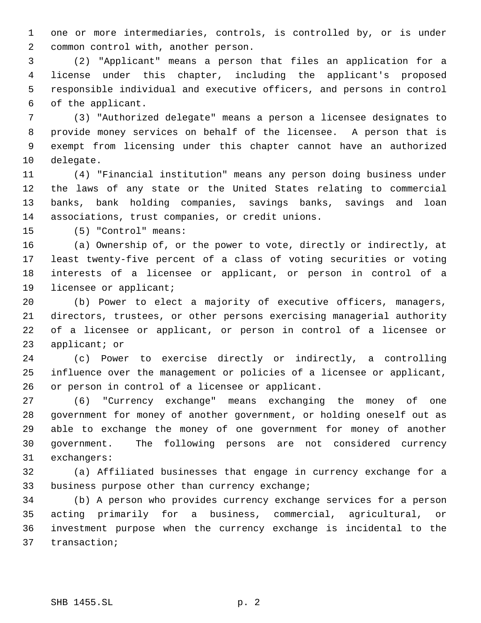one or more intermediaries, controls, is controlled by, or is under common control with, another person.

 (2) "Applicant" means a person that files an application for a license under this chapter, including the applicant's proposed responsible individual and executive officers, and persons in control of the applicant.

 (3) "Authorized delegate" means a person a licensee designates to provide money services on behalf of the licensee. A person that is exempt from licensing under this chapter cannot have an authorized delegate.

 (4) "Financial institution" means any person doing business under the laws of any state or the United States relating to commercial banks, bank holding companies, savings banks, savings and loan associations, trust companies, or credit unions.

(5) "Control" means:

 (a) Ownership of, or the power to vote, directly or indirectly, at least twenty-five percent of a class of voting securities or voting interests of a licensee or applicant, or person in control of a licensee or applicant;

 (b) Power to elect a majority of executive officers, managers, directors, trustees, or other persons exercising managerial authority of a licensee or applicant, or person in control of a licensee or applicant; or

 (c) Power to exercise directly or indirectly, a controlling influence over the management or policies of a licensee or applicant, or person in control of a licensee or applicant.

 (6) "Currency exchange" means exchanging the money of one government for money of another government, or holding oneself out as able to exchange the money of one government for money of another government. The following persons are not considered currency exchangers:

 (a) Affiliated businesses that engage in currency exchange for a business purpose other than currency exchange;

 (b) A person who provides currency exchange services for a person acting primarily for a business, commercial, agricultural, or investment purpose when the currency exchange is incidental to the transaction;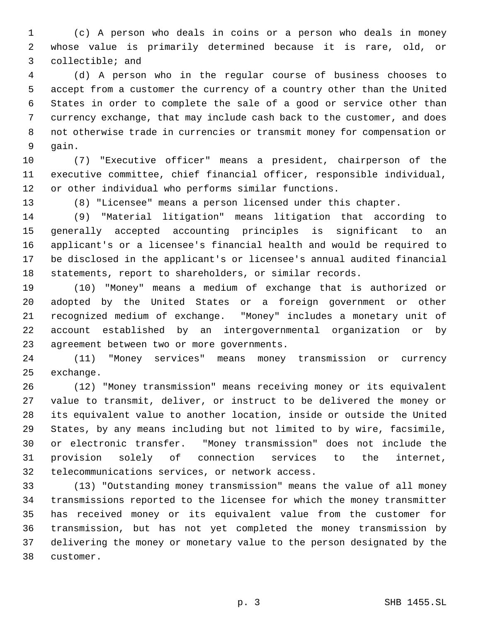(c) A person who deals in coins or a person who deals in money whose value is primarily determined because it is rare, old, or collectible; and

 (d) A person who in the regular course of business chooses to accept from a customer the currency of a country other than the United States in order to complete the sale of a good or service other than currency exchange, that may include cash back to the customer, and does not otherwise trade in currencies or transmit money for compensation or gain.

 (7) "Executive officer" means a president, chairperson of the executive committee, chief financial officer, responsible individual, or other individual who performs similar functions.

(8) "Licensee" means a person licensed under this chapter.

 (9) "Material litigation" means litigation that according to generally accepted accounting principles is significant to an applicant's or a licensee's financial health and would be required to be disclosed in the applicant's or licensee's annual audited financial statements, report to shareholders, or similar records.

 (10) "Money" means a medium of exchange that is authorized or adopted by the United States or a foreign government or other recognized medium of exchange. "Money" includes a monetary unit of account established by an intergovernmental organization or by agreement between two or more governments.

 (11) "Money services" means money transmission or currency exchange.

 (12) "Money transmission" means receiving money or its equivalent value to transmit, deliver, or instruct to be delivered the money or its equivalent value to another location, inside or outside the United States, by any means including but not limited to by wire, facsimile, or electronic transfer. "Money transmission" does not include the provision solely of connection services to the internet, telecommunications services, or network access.

 (13) "Outstanding money transmission" means the value of all money transmissions reported to the licensee for which the money transmitter has received money or its equivalent value from the customer for transmission, but has not yet completed the money transmission by delivering the money or monetary value to the person designated by the customer.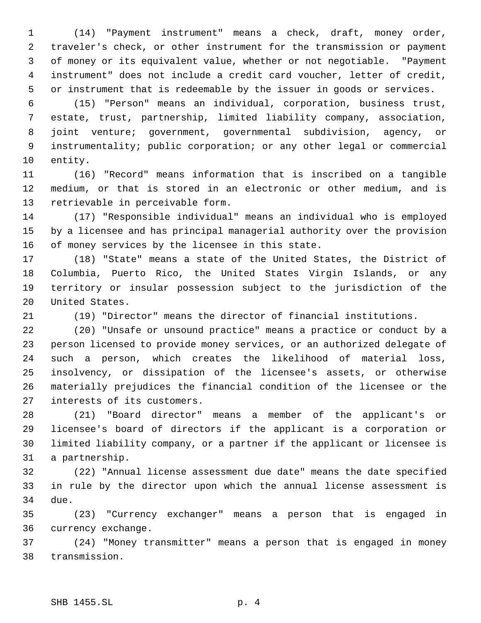(14) "Payment instrument" means a check, draft, money order, traveler's check, or other instrument for the transmission or payment of money or its equivalent value, whether or not negotiable. "Payment instrument" does not include a credit card voucher, letter of credit, or instrument that is redeemable by the issuer in goods or services.

 (15) "Person" means an individual, corporation, business trust, estate, trust, partnership, limited liability company, association, joint venture; government, governmental subdivision, agency, or instrumentality; public corporation; or any other legal or commercial entity.

 (16) "Record" means information that is inscribed on a tangible medium, or that is stored in an electronic or other medium, and is retrievable in perceivable form.

 (17) "Responsible individual" means an individual who is employed by a licensee and has principal managerial authority over the provision of money services by the licensee in this state.

 (18) "State" means a state of the United States, the District of Columbia, Puerto Rico, the United States Virgin Islands, or any territory or insular possession subject to the jurisdiction of the United States.

(19) "Director" means the director of financial institutions.

 (20) "Unsafe or unsound practice" means a practice or conduct by a person licensed to provide money services, or an authorized delegate of such a person, which creates the likelihood of material loss, insolvency, or dissipation of the licensee's assets, or otherwise materially prejudices the financial condition of the licensee or the interests of its customers.

 (21) "Board director" means a member of the applicant's or licensee's board of directors if the applicant is a corporation or limited liability company, or a partner if the applicant or licensee is a partnership.

 (22) "Annual license assessment due date" means the date specified in rule by the director upon which the annual license assessment is due.

 (23) "Currency exchanger" means a person that is engaged in currency exchange.

 (24) "Money transmitter" means a person that is engaged in money transmission.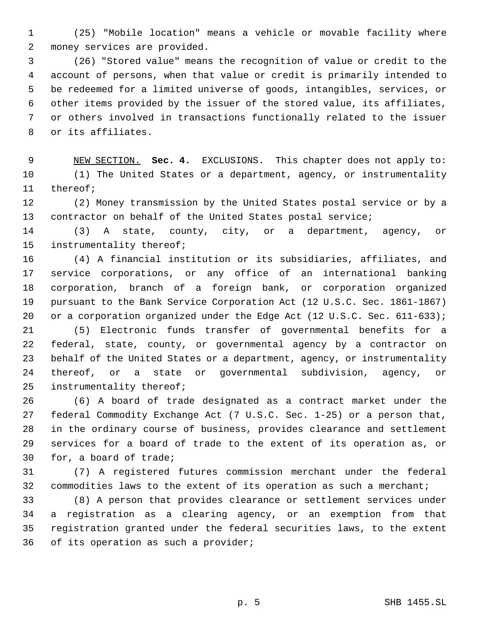(25) "Mobile location" means a vehicle or movable facility where money services are provided.

 (26) "Stored value" means the recognition of value or credit to the account of persons, when that value or credit is primarily intended to be redeemed for a limited universe of goods, intangibles, services, or other items provided by the issuer of the stored value, its affiliates, or others involved in transactions functionally related to the issuer or its affiliates.

 NEW SECTION. **Sec. 4.** EXCLUSIONS. This chapter does not apply to: (1) The United States or a department, agency, or instrumentality thereof;

 (2) Money transmission by the United States postal service or by a contractor on behalf of the United States postal service;

 (3) A state, county, city, or a department, agency, or instrumentality thereof;

 (4) A financial institution or its subsidiaries, affiliates, and service corporations, or any office of an international banking corporation, branch of a foreign bank, or corporation organized pursuant to the Bank Service Corporation Act (12 U.S.C. Sec. 1861-1867) 20 or a corporation organized under the Edge Act (12 U.S.C. Sec. 611-633);

 (5) Electronic funds transfer of governmental benefits for a federal, state, county, or governmental agency by a contractor on behalf of the United States or a department, agency, or instrumentality thereof, or a state or governmental subdivision, agency, or instrumentality thereof;

 (6) A board of trade designated as a contract market under the federal Commodity Exchange Act (7 U.S.C. Sec. 1-25) or a person that, in the ordinary course of business, provides clearance and settlement services for a board of trade to the extent of its operation as, or for, a board of trade;

 (7) A registered futures commission merchant under the federal commodities laws to the extent of its operation as such a merchant;

 (8) A person that provides clearance or settlement services under a registration as a clearing agency, or an exemption from that registration granted under the federal securities laws, to the extent of its operation as such a provider;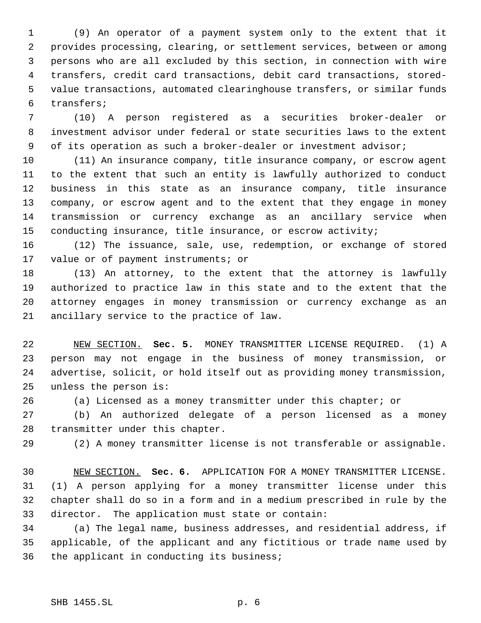(9) An operator of a payment system only to the extent that it provides processing, clearing, or settlement services, between or among persons who are all excluded by this section, in connection with wire transfers, credit card transactions, debit card transactions, stored- value transactions, automated clearinghouse transfers, or similar funds transfers;

 (10) A person registered as a securities broker-dealer or investment advisor under federal or state securities laws to the extent 9 of its operation as such a broker-dealer or investment advisor;

 (11) An insurance company, title insurance company, or escrow agent to the extent that such an entity is lawfully authorized to conduct business in this state as an insurance company, title insurance company, or escrow agent and to the extent that they engage in money transmission or currency exchange as an ancillary service when conducting insurance, title insurance, or escrow activity;

 (12) The issuance, sale, use, redemption, or exchange of stored value or of payment instruments; or

 (13) An attorney, to the extent that the attorney is lawfully authorized to practice law in this state and to the extent that the attorney engages in money transmission or currency exchange as an ancillary service to the practice of law.

 NEW SECTION. **Sec. 5.** MONEY TRANSMITTER LICENSE REQUIRED. (1) A person may not engage in the business of money transmission, or advertise, solicit, or hold itself out as providing money transmission, unless the person is:

(a) Licensed as a money transmitter under this chapter; or

 (b) An authorized delegate of a person licensed as a money transmitter under this chapter.

(2) A money transmitter license is not transferable or assignable.

 NEW SECTION. **Sec. 6.** APPLICATION FOR A MONEY TRANSMITTER LICENSE. (1) A person applying for a money transmitter license under this chapter shall do so in a form and in a medium prescribed in rule by the director. The application must state or contain:

 (a) The legal name, business addresses, and residential address, if applicable, of the applicant and any fictitious or trade name used by the applicant in conducting its business;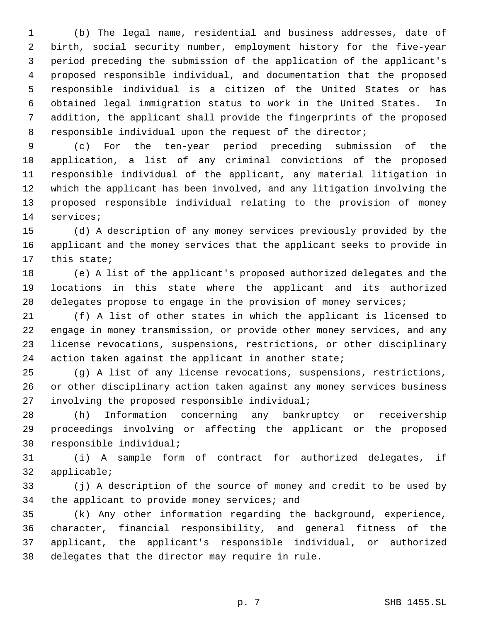(b) The legal name, residential and business addresses, date of birth, social security number, employment history for the five-year period preceding the submission of the application of the applicant's proposed responsible individual, and documentation that the proposed responsible individual is a citizen of the United States or has obtained legal immigration status to work in the United States. In addition, the applicant shall provide the fingerprints of the proposed responsible individual upon the request of the director;

 (c) For the ten-year period preceding submission of the application, a list of any criminal convictions of the proposed responsible individual of the applicant, any material litigation in which the applicant has been involved, and any litigation involving the proposed responsible individual relating to the provision of money services;

 (d) A description of any money services previously provided by the applicant and the money services that the applicant seeks to provide in this state;

 (e) A list of the applicant's proposed authorized delegates and the locations in this state where the applicant and its authorized 20 delegates propose to engage in the provision of money services;

 (f) A list of other states in which the applicant is licensed to engage in money transmission, or provide other money services, and any license revocations, suspensions, restrictions, or other disciplinary 24 action taken against the applicant in another state;

 (g) A list of any license revocations, suspensions, restrictions, or other disciplinary action taken against any money services business involving the proposed responsible individual;

 (h) Information concerning any bankruptcy or receivership proceedings involving or affecting the applicant or the proposed responsible individual;

 (i) A sample form of contract for authorized delegates, if applicable;

 (j) A description of the source of money and credit to be used by the applicant to provide money services; and

 (k) Any other information regarding the background, experience, character, financial responsibility, and general fitness of the applicant, the applicant's responsible individual, or authorized delegates that the director may require in rule.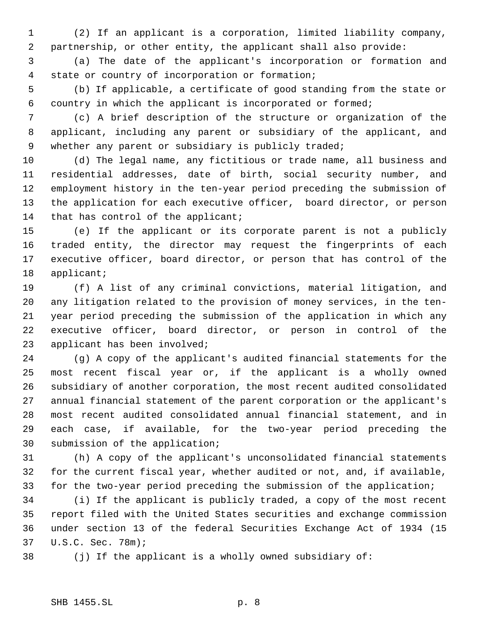(2) If an applicant is a corporation, limited liability company, partnership, or other entity, the applicant shall also provide:

 (a) The date of the applicant's incorporation or formation and state or country of incorporation or formation;

 (b) If applicable, a certificate of good standing from the state or country in which the applicant is incorporated or formed;

 (c) A brief description of the structure or organization of the applicant, including any parent or subsidiary of the applicant, and 9 whether any parent or subsidiary is publicly traded;

 (d) The legal name, any fictitious or trade name, all business and residential addresses, date of birth, social security number, and employment history in the ten-year period preceding the submission of the application for each executive officer, board director, or person 14 that has control of the applicant;

 (e) If the applicant or its corporate parent is not a publicly traded entity, the director may request the fingerprints of each executive officer, board director, or person that has control of the applicant;

 (f) A list of any criminal convictions, material litigation, and any litigation related to the provision of money services, in the ten- year period preceding the submission of the application in which any executive officer, board director, or person in control of the applicant has been involved;

 (g) A copy of the applicant's audited financial statements for the most recent fiscal year or, if the applicant is a wholly owned subsidiary of another corporation, the most recent audited consolidated annual financial statement of the parent corporation or the applicant's most recent audited consolidated annual financial statement, and in each case, if available, for the two-year period preceding the submission of the application;

 (h) A copy of the applicant's unconsolidated financial statements for the current fiscal year, whether audited or not, and, if available, for the two-year period preceding the submission of the application;

 (i) If the applicant is publicly traded, a copy of the most recent report filed with the United States securities and exchange commission under section 13 of the federal Securities Exchange Act of 1934 (15 U.S.C. Sec. 78m);

(j) If the applicant is a wholly owned subsidiary of: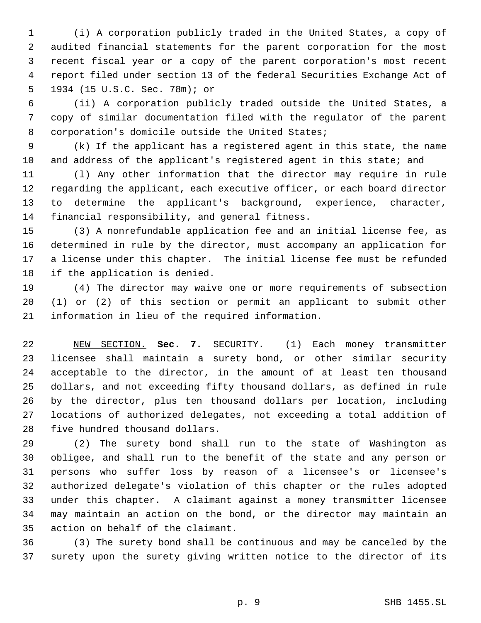(i) A corporation publicly traded in the United States, a copy of audited financial statements for the parent corporation for the most recent fiscal year or a copy of the parent corporation's most recent report filed under section 13 of the federal Securities Exchange Act of 1934 (15 U.S.C. Sec. 78m); or

 (ii) A corporation publicly traded outside the United States, a copy of similar documentation filed with the regulator of the parent corporation's domicile outside the United States;

 (k) If the applicant has a registered agent in this state, the name and address of the applicant's registered agent in this state; and

 (l) Any other information that the director may require in rule regarding the applicant, each executive officer, or each board director to determine the applicant's background, experience, character, financial responsibility, and general fitness.

 (3) A nonrefundable application fee and an initial license fee, as determined in rule by the director, must accompany an application for a license under this chapter. The initial license fee must be refunded if the application is denied.

 (4) The director may waive one or more requirements of subsection (1) or (2) of this section or permit an applicant to submit other information in lieu of the required information.

 NEW SECTION. **Sec. 7.** SECURITY. (1) Each money transmitter licensee shall maintain a surety bond, or other similar security acceptable to the director, in the amount of at least ten thousand dollars, and not exceeding fifty thousand dollars, as defined in rule by the director, plus ten thousand dollars per location, including locations of authorized delegates, not exceeding a total addition of five hundred thousand dollars.

 (2) The surety bond shall run to the state of Washington as obligee, and shall run to the benefit of the state and any person or persons who suffer loss by reason of a licensee's or licensee's authorized delegate's violation of this chapter or the rules adopted under this chapter. A claimant against a money transmitter licensee may maintain an action on the bond, or the director may maintain an action on behalf of the claimant.

 (3) The surety bond shall be continuous and may be canceled by the surety upon the surety giving written notice to the director of its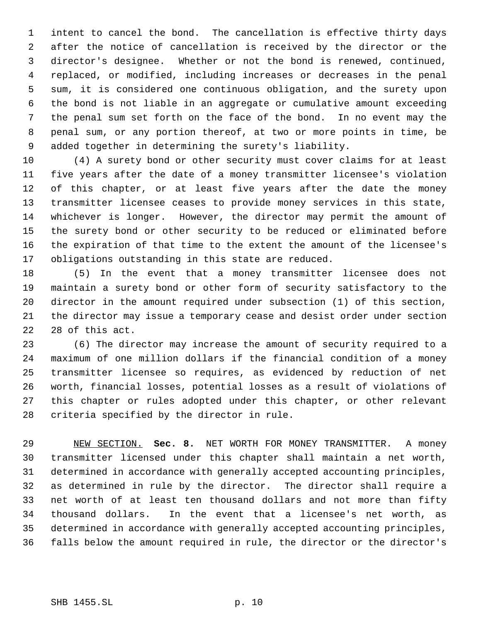intent to cancel the bond. The cancellation is effective thirty days after the notice of cancellation is received by the director or the director's designee. Whether or not the bond is renewed, continued, replaced, or modified, including increases or decreases in the penal sum, it is considered one continuous obligation, and the surety upon the bond is not liable in an aggregate or cumulative amount exceeding the penal sum set forth on the face of the bond. In no event may the penal sum, or any portion thereof, at two or more points in time, be added together in determining the surety's liability.

 (4) A surety bond or other security must cover claims for at least five years after the date of a money transmitter licensee's violation of this chapter, or at least five years after the date the money transmitter licensee ceases to provide money services in this state, whichever is longer. However, the director may permit the amount of the surety bond or other security to be reduced or eliminated before the expiration of that time to the extent the amount of the licensee's obligations outstanding in this state are reduced.

 (5) In the event that a money transmitter licensee does not maintain a surety bond or other form of security satisfactory to the director in the amount required under subsection (1) of this section, the director may issue a temporary cease and desist order under section 28 of this act.

 (6) The director may increase the amount of security required to a maximum of one million dollars if the financial condition of a money transmitter licensee so requires, as evidenced by reduction of net worth, financial losses, potential losses as a result of violations of this chapter or rules adopted under this chapter, or other relevant criteria specified by the director in rule.

 NEW SECTION. **Sec. 8.** NET WORTH FOR MONEY TRANSMITTER. A money transmitter licensed under this chapter shall maintain a net worth, determined in accordance with generally accepted accounting principles, as determined in rule by the director. The director shall require a net worth of at least ten thousand dollars and not more than fifty thousand dollars. In the event that a licensee's net worth, as determined in accordance with generally accepted accounting principles, falls below the amount required in rule, the director or the director's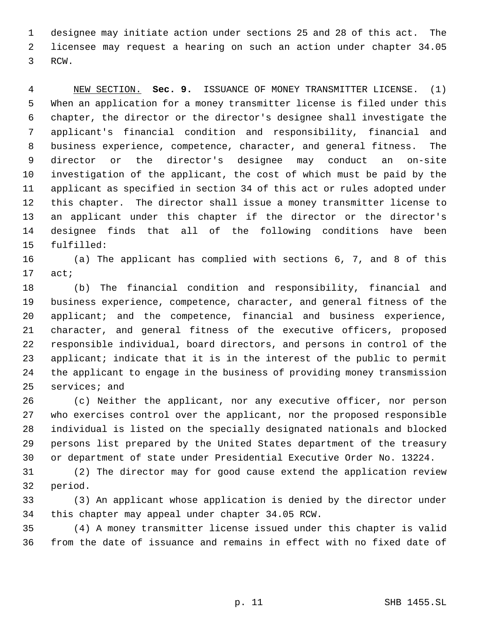designee may initiate action under sections 25 and 28 of this act. The licensee may request a hearing on such an action under chapter 34.05 RCW.

 NEW SECTION. **Sec. 9.** ISSUANCE OF MONEY TRANSMITTER LICENSE. (1) When an application for a money transmitter license is filed under this chapter, the director or the director's designee shall investigate the applicant's financial condition and responsibility, financial and business experience, competence, character, and general fitness. The director or the director's designee may conduct an on-site investigation of the applicant, the cost of which must be paid by the applicant as specified in section 34 of this act or rules adopted under this chapter. The director shall issue a money transmitter license to an applicant under this chapter if the director or the director's designee finds that all of the following conditions have been fulfilled:

 (a) The applicant has complied with sections 6, 7, and 8 of this act;

 (b) The financial condition and responsibility, financial and business experience, competence, character, and general fitness of the applicant; and the competence, financial and business experience, character, and general fitness of the executive officers, proposed responsible individual, board directors, and persons in control of the 23 applicant; indicate that it is in the interest of the public to permit the applicant to engage in the business of providing money transmission services; and

 (c) Neither the applicant, nor any executive officer, nor person who exercises control over the applicant, nor the proposed responsible individual is listed on the specially designated nationals and blocked persons list prepared by the United States department of the treasury or department of state under Presidential Executive Order No. 13224.

 (2) The director may for good cause extend the application review period.

 (3) An applicant whose application is denied by the director under this chapter may appeal under chapter 34.05 RCW.

 (4) A money transmitter license issued under this chapter is valid from the date of issuance and remains in effect with no fixed date of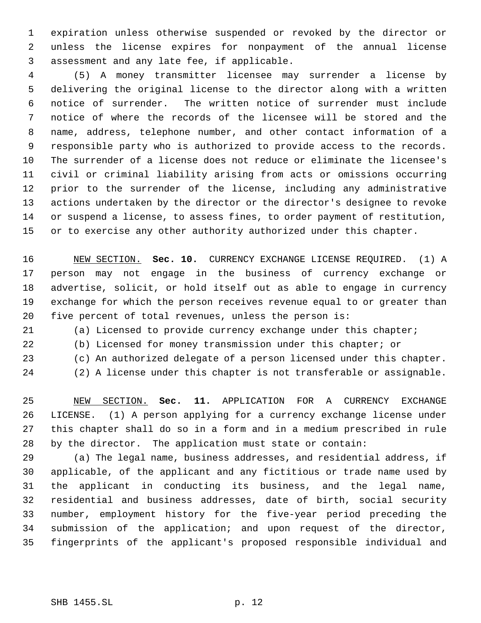expiration unless otherwise suspended or revoked by the director or unless the license expires for nonpayment of the annual license assessment and any late fee, if applicable.

 (5) A money transmitter licensee may surrender a license by delivering the original license to the director along with a written notice of surrender. The written notice of surrender must include notice of where the records of the licensee will be stored and the name, address, telephone number, and other contact information of a responsible party who is authorized to provide access to the records. The surrender of a license does not reduce or eliminate the licensee's civil or criminal liability arising from acts or omissions occurring prior to the surrender of the license, including any administrative actions undertaken by the director or the director's designee to revoke or suspend a license, to assess fines, to order payment of restitution, 15 or to exercise any other authority authorized under this chapter.

 NEW SECTION. **Sec. 10.** CURRENCY EXCHANGE LICENSE REQUIRED. (1) A person may not engage in the business of currency exchange or advertise, solicit, or hold itself out as able to engage in currency exchange for which the person receives revenue equal to or greater than five percent of total revenues, unless the person is:

(a) Licensed to provide currency exchange under this chapter;

(b) Licensed for money transmission under this chapter; or

(c) An authorized delegate of a person licensed under this chapter.

(2) A license under this chapter is not transferable or assignable.

 NEW SECTION. **Sec. 11.** APPLICATION FOR A CURRENCY EXCHANGE LICENSE. (1) A person applying for a currency exchange license under this chapter shall do so in a form and in a medium prescribed in rule by the director. The application must state or contain:

 (a) The legal name, business addresses, and residential address, if applicable, of the applicant and any fictitious or trade name used by the applicant in conducting its business, and the legal name, residential and business addresses, date of birth, social security number, employment history for the five-year period preceding the submission of the application; and upon request of the director, fingerprints of the applicant's proposed responsible individual and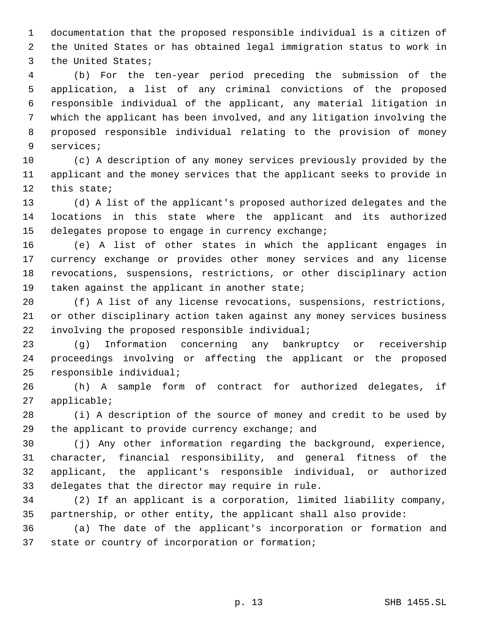documentation that the proposed responsible individual is a citizen of the United States or has obtained legal immigration status to work in the United States;

 (b) For the ten-year period preceding the submission of the application, a list of any criminal convictions of the proposed responsible individual of the applicant, any material litigation in which the applicant has been involved, and any litigation involving the proposed responsible individual relating to the provision of money services;

 (c) A description of any money services previously provided by the applicant and the money services that the applicant seeks to provide in this state;

 (d) A list of the applicant's proposed authorized delegates and the locations in this state where the applicant and its authorized delegates propose to engage in currency exchange;

 (e) A list of other states in which the applicant engages in currency exchange or provides other money services and any license revocations, suspensions, restrictions, or other disciplinary action 19 taken against the applicant in another state;

 (f) A list of any license revocations, suspensions, restrictions, or other disciplinary action taken against any money services business involving the proposed responsible individual;

 (g) Information concerning any bankruptcy or receivership proceedings involving or affecting the applicant or the proposed responsible individual;

 (h) A sample form of contract for authorized delegates, if applicable;

 (i) A description of the source of money and credit to be used by the applicant to provide currency exchange; and

 (j) Any other information regarding the background, experience, character, financial responsibility, and general fitness of the applicant, the applicant's responsible individual, or authorized delegates that the director may require in rule.

 (2) If an applicant is a corporation, limited liability company, partnership, or other entity, the applicant shall also provide:

 (a) The date of the applicant's incorporation or formation and state or country of incorporation or formation;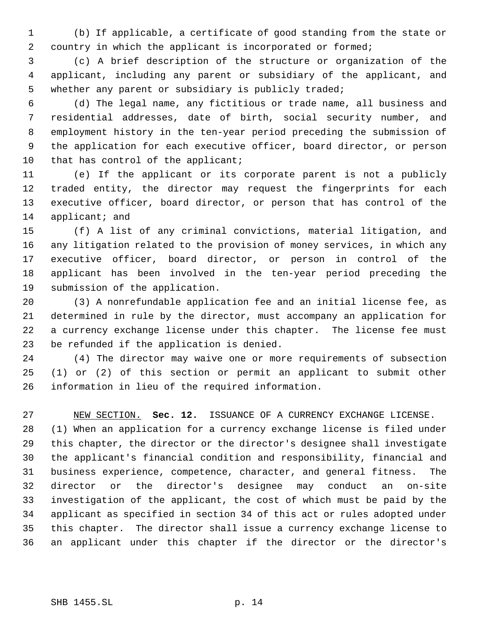(b) If applicable, a certificate of good standing from the state or country in which the applicant is incorporated or formed;

 (c) A brief description of the structure or organization of the applicant, including any parent or subsidiary of the applicant, and whether any parent or subsidiary is publicly traded;

 (d) The legal name, any fictitious or trade name, all business and residential addresses, date of birth, social security number, and employment history in the ten-year period preceding the submission of the application for each executive officer, board director, or person 10 that has control of the applicant;

 (e) If the applicant or its corporate parent is not a publicly traded entity, the director may request the fingerprints for each executive officer, board director, or person that has control of the 14 applicant; and

 (f) A list of any criminal convictions, material litigation, and any litigation related to the provision of money services, in which any executive officer, board director, or person in control of the applicant has been involved in the ten-year period preceding the submission of the application.

 (3) A nonrefundable application fee and an initial license fee, as determined in rule by the director, must accompany an application for a currency exchange license under this chapter. The license fee must be refunded if the application is denied.

 (4) The director may waive one or more requirements of subsection (1) or (2) of this section or permit an applicant to submit other information in lieu of the required information.

 NEW SECTION. **Sec. 12.** ISSUANCE OF A CURRENCY EXCHANGE LICENSE. (1) When an application for a currency exchange license is filed under this chapter, the director or the director's designee shall investigate the applicant's financial condition and responsibility, financial and business experience, competence, character, and general fitness. The director or the director's designee may conduct an on-site investigation of the applicant, the cost of which must be paid by the applicant as specified in section 34 of this act or rules adopted under this chapter. The director shall issue a currency exchange license to an applicant under this chapter if the director or the director's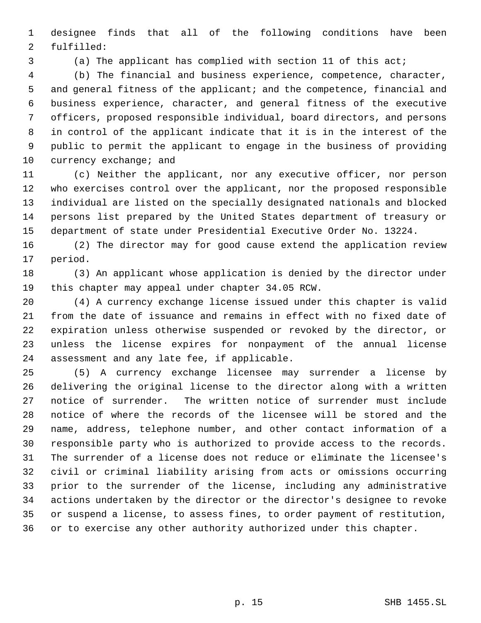designee finds that all of the following conditions have been fulfilled:

(a) The applicant has complied with section 11 of this act;

 (b) The financial and business experience, competence, character, 5 and general fitness of the applicant; and the competence, financial and business experience, character, and general fitness of the executive officers, proposed responsible individual, board directors, and persons in control of the applicant indicate that it is in the interest of the public to permit the applicant to engage in the business of providing 10 currency exchange; and

 (c) Neither the applicant, nor any executive officer, nor person who exercises control over the applicant, nor the proposed responsible individual are listed on the specially designated nationals and blocked persons list prepared by the United States department of treasury or department of state under Presidential Executive Order No. 13224.

 (2) The director may for good cause extend the application review period.

 (3) An applicant whose application is denied by the director under this chapter may appeal under chapter 34.05 RCW.

 (4) A currency exchange license issued under this chapter is valid from the date of issuance and remains in effect with no fixed date of expiration unless otherwise suspended or revoked by the director, or unless the license expires for nonpayment of the annual license assessment and any late fee, if applicable.

 (5) A currency exchange licensee may surrender a license by delivering the original license to the director along with a written notice of surrender. The written notice of surrender must include notice of where the records of the licensee will be stored and the name, address, telephone number, and other contact information of a responsible party who is authorized to provide access to the records. The surrender of a license does not reduce or eliminate the licensee's civil or criminal liability arising from acts or omissions occurring prior to the surrender of the license, including any administrative actions undertaken by the director or the director's designee to revoke or suspend a license, to assess fines, to order payment of restitution, or to exercise any other authority authorized under this chapter.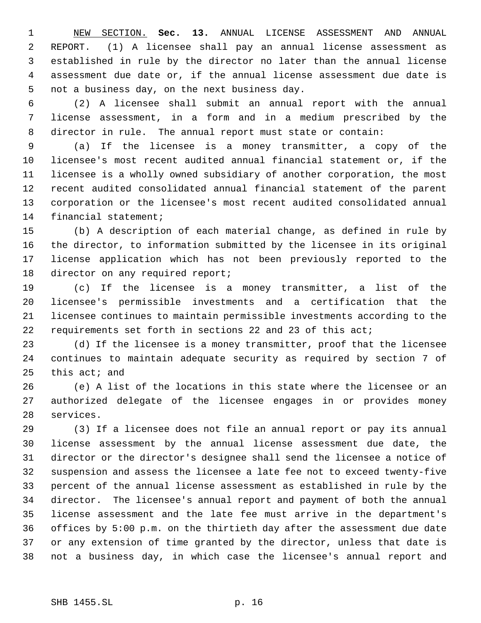NEW SECTION. **Sec. 13.** ANNUAL LICENSE ASSESSMENT AND ANNUAL REPORT. (1) A licensee shall pay an annual license assessment as established in rule by the director no later than the annual license assessment due date or, if the annual license assessment due date is not a business day, on the next business day.

 (2) A licensee shall submit an annual report with the annual license assessment, in a form and in a medium prescribed by the director in rule. The annual report must state or contain:

 (a) If the licensee is a money transmitter, a copy of the licensee's most recent audited annual financial statement or, if the licensee is a wholly owned subsidiary of another corporation, the most recent audited consolidated annual financial statement of the parent corporation or the licensee's most recent audited consolidated annual financial statement;

 (b) A description of each material change, as defined in rule by the director, to information submitted by the licensee in its original license application which has not been previously reported to the 18 director on any required report;

 (c) If the licensee is a money transmitter, a list of the licensee's permissible investments and a certification that the licensee continues to maintain permissible investments according to the requirements set forth in sections 22 and 23 of this act;

 (d) If the licensee is a money transmitter, proof that the licensee continues to maintain adequate security as required by section 7 of this act; and

 (e) A list of the locations in this state where the licensee or an authorized delegate of the licensee engages in or provides money services.

 (3) If a licensee does not file an annual report or pay its annual license assessment by the annual license assessment due date, the director or the director's designee shall send the licensee a notice of suspension and assess the licensee a late fee not to exceed twenty-five percent of the annual license assessment as established in rule by the director. The licensee's annual report and payment of both the annual license assessment and the late fee must arrive in the department's offices by 5:00 p.m. on the thirtieth day after the assessment due date or any extension of time granted by the director, unless that date is not a business day, in which case the licensee's annual report and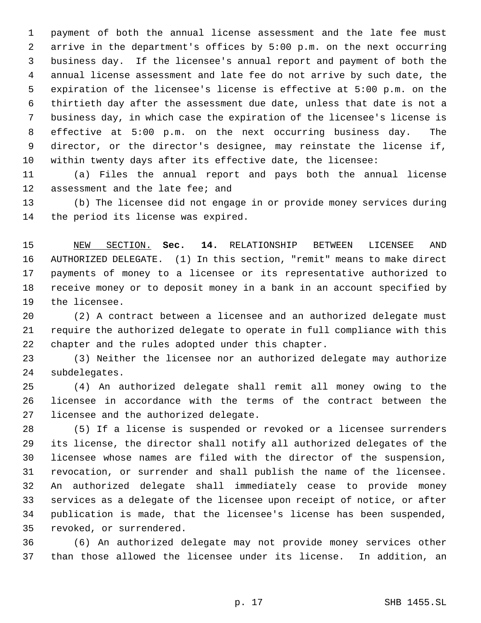payment of both the annual license assessment and the late fee must arrive in the department's offices by 5:00 p.m. on the next occurring business day. If the licensee's annual report and payment of both the annual license assessment and late fee do not arrive by such date, the expiration of the licensee's license is effective at 5:00 p.m. on the thirtieth day after the assessment due date, unless that date is not a business day, in which case the expiration of the licensee's license is effective at 5:00 p.m. on the next occurring business day. The director, or the director's designee, may reinstate the license if, within twenty days after its effective date, the licensee:

 (a) Files the annual report and pays both the annual license assessment and the late fee; and

 (b) The licensee did not engage in or provide money services during the period its license was expired.

 NEW SECTION. **Sec. 14.** RELATIONSHIP BETWEEN LICENSEE AND AUTHORIZED DELEGATE. (1) In this section, "remit" means to make direct payments of money to a licensee or its representative authorized to receive money or to deposit money in a bank in an account specified by the licensee.

 (2) A contract between a licensee and an authorized delegate must require the authorized delegate to operate in full compliance with this chapter and the rules adopted under this chapter.

 (3) Neither the licensee nor an authorized delegate may authorize subdelegates.

 (4) An authorized delegate shall remit all money owing to the licensee in accordance with the terms of the contract between the licensee and the authorized delegate.

 (5) If a license is suspended or revoked or a licensee surrenders its license, the director shall notify all authorized delegates of the licensee whose names are filed with the director of the suspension, revocation, or surrender and shall publish the name of the licensee. An authorized delegate shall immediately cease to provide money services as a delegate of the licensee upon receipt of notice, or after publication is made, that the licensee's license has been suspended, revoked, or surrendered.

 (6) An authorized delegate may not provide money services other than those allowed the licensee under its license. In addition, an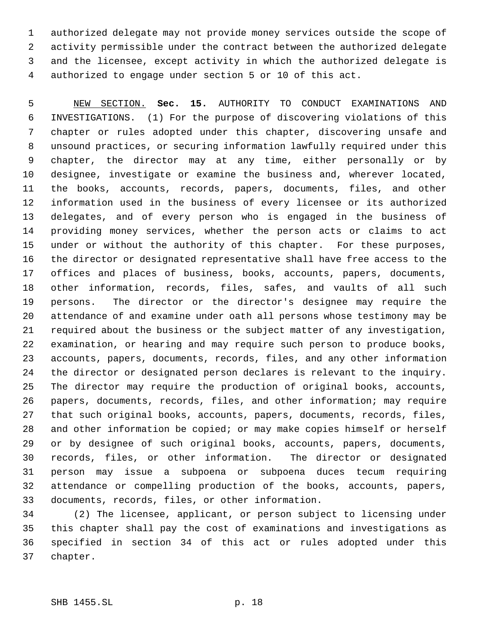authorized delegate may not provide money services outside the scope of activity permissible under the contract between the authorized delegate and the licensee, except activity in which the authorized delegate is authorized to engage under section 5 or 10 of this act.

 NEW SECTION. **Sec. 15.** AUTHORITY TO CONDUCT EXAMINATIONS AND INVESTIGATIONS. (1) For the purpose of discovering violations of this chapter or rules adopted under this chapter, discovering unsafe and unsound practices, or securing information lawfully required under this chapter, the director may at any time, either personally or by designee, investigate or examine the business and, wherever located, the books, accounts, records, papers, documents, files, and other information used in the business of every licensee or its authorized delegates, and of every person who is engaged in the business of providing money services, whether the person acts or claims to act under or without the authority of this chapter. For these purposes, the director or designated representative shall have free access to the offices and places of business, books, accounts, papers, documents, other information, records, files, safes, and vaults of all such persons. The director or the director's designee may require the attendance of and examine under oath all persons whose testimony may be required about the business or the subject matter of any investigation, examination, or hearing and may require such person to produce books, accounts, papers, documents, records, files, and any other information the director or designated person declares is relevant to the inquiry. The director may require the production of original books, accounts, papers, documents, records, files, and other information; may require that such original books, accounts, papers, documents, records, files, and other information be copied; or may make copies himself or herself or by designee of such original books, accounts, papers, documents, records, files, or other information. The director or designated person may issue a subpoena or subpoena duces tecum requiring attendance or compelling production of the books, accounts, papers, documents, records, files, or other information.

 (2) The licensee, applicant, or person subject to licensing under this chapter shall pay the cost of examinations and investigations as specified in section 34 of this act or rules adopted under this chapter.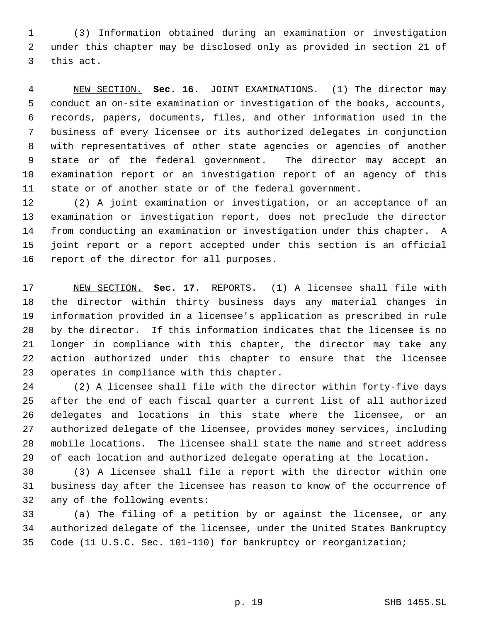(3) Information obtained during an examination or investigation under this chapter may be disclosed only as provided in section 21 of this act.

 NEW SECTION. **Sec. 16.** JOINT EXAMINATIONS. (1) The director may conduct an on-site examination or investigation of the books, accounts, records, papers, documents, files, and other information used in the business of every licensee or its authorized delegates in conjunction with representatives of other state agencies or agencies of another state or of the federal government. The director may accept an examination report or an investigation report of an agency of this state or of another state or of the federal government.

 (2) A joint examination or investigation, or an acceptance of an examination or investigation report, does not preclude the director from conducting an examination or investigation under this chapter. A joint report or a report accepted under this section is an official report of the director for all purposes.

 NEW SECTION. **Sec. 17.** REPORTS. (1) A licensee shall file with the director within thirty business days any material changes in information provided in a licensee's application as prescribed in rule by the director. If this information indicates that the licensee is no longer in compliance with this chapter, the director may take any action authorized under this chapter to ensure that the licensee operates in compliance with this chapter.

 (2) A licensee shall file with the director within forty-five days after the end of each fiscal quarter a current list of all authorized delegates and locations in this state where the licensee, or an authorized delegate of the licensee, provides money services, including mobile locations. The licensee shall state the name and street address of each location and authorized delegate operating at the location.

 (3) A licensee shall file a report with the director within one business day after the licensee has reason to know of the occurrence of any of the following events:

 (a) The filing of a petition by or against the licensee, or any authorized delegate of the licensee, under the United States Bankruptcy Code (11 U.S.C. Sec. 101-110) for bankruptcy or reorganization;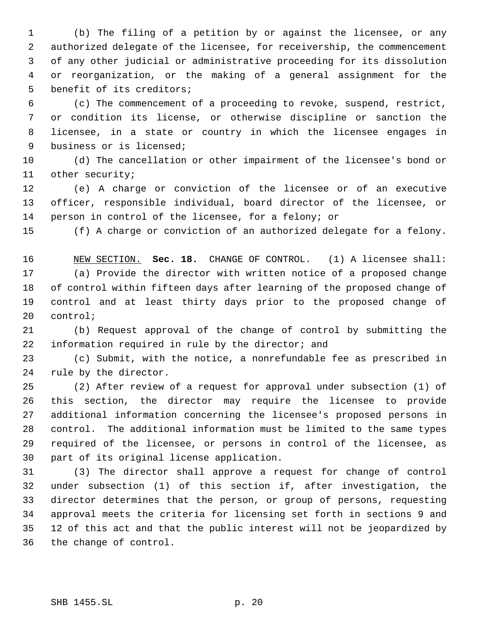(b) The filing of a petition by or against the licensee, or any authorized delegate of the licensee, for receivership, the commencement of any other judicial or administrative proceeding for its dissolution or reorganization, or the making of a general assignment for the benefit of its creditors;

 (c) The commencement of a proceeding to revoke, suspend, restrict, or condition its license, or otherwise discipline or sanction the licensee, in a state or country in which the licensee engages in business or is licensed;

 (d) The cancellation or other impairment of the licensee's bond or other security;

 (e) A charge or conviction of the licensee or of an executive officer, responsible individual, board director of the licensee, or person in control of the licensee, for a felony; or

(f) A charge or conviction of an authorized delegate for a felony.

 NEW SECTION. **Sec. 18.** CHANGE OF CONTROL. (1) A licensee shall: (a) Provide the director with written notice of a proposed change of control within fifteen days after learning of the proposed change of control and at least thirty days prior to the proposed change of control;

 (b) Request approval of the change of control by submitting the information required in rule by the director; and

 (c) Submit, with the notice, a nonrefundable fee as prescribed in rule by the director.

 (2) After review of a request for approval under subsection (1) of this section, the director may require the licensee to provide additional information concerning the licensee's proposed persons in control. The additional information must be limited to the same types required of the licensee, or persons in control of the licensee, as part of its original license application.

 (3) The director shall approve a request for change of control under subsection (1) of this section if, after investigation, the director determines that the person, or group of persons, requesting approval meets the criteria for licensing set forth in sections 9 and 12 of this act and that the public interest will not be jeopardized by the change of control.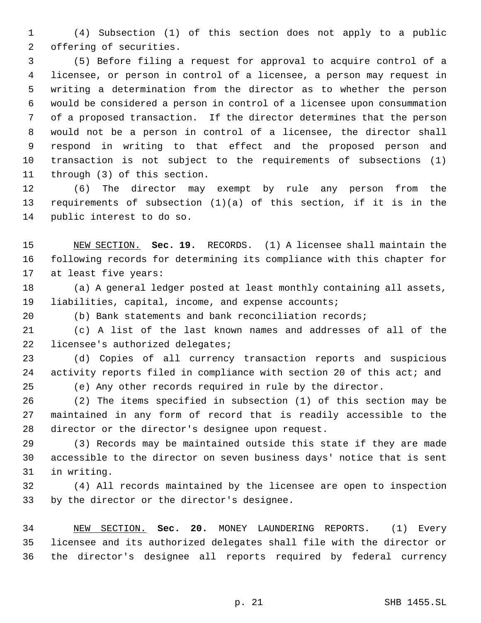(4) Subsection (1) of this section does not apply to a public offering of securities.

 (5) Before filing a request for approval to acquire control of a licensee, or person in control of a licensee, a person may request in writing a determination from the director as to whether the person would be considered a person in control of a licensee upon consummation of a proposed transaction. If the director determines that the person would not be a person in control of a licensee, the director shall respond in writing to that effect and the proposed person and transaction is not subject to the requirements of subsections (1) through (3) of this section.

 (6) The director may exempt by rule any person from the requirements of subsection (1)(a) of this section, if it is in the public interest to do so.

 NEW SECTION. **Sec. 19.** RECORDS. (1) A licensee shall maintain the following records for determining its compliance with this chapter for at least five years:

 (a) A general ledger posted at least monthly containing all assets, liabilities, capital, income, and expense accounts;

(b) Bank statements and bank reconciliation records;

 (c) A list of the last known names and addresses of all of the 22 licensee's authorized delegates;

 (d) Copies of all currency transaction reports and suspicious activity reports filed in compliance with section 20 of this act; and

(e) Any other records required in rule by the director.

 (2) The items specified in subsection (1) of this section may be maintained in any form of record that is readily accessible to the director or the director's designee upon request.

 (3) Records may be maintained outside this state if they are made accessible to the director on seven business days' notice that is sent in writing.

 (4) All records maintained by the licensee are open to inspection by the director or the director's designee.

 NEW SECTION. **Sec. 20.** MONEY LAUNDERING REPORTS. (1) Every licensee and its authorized delegates shall file with the director or the director's designee all reports required by federal currency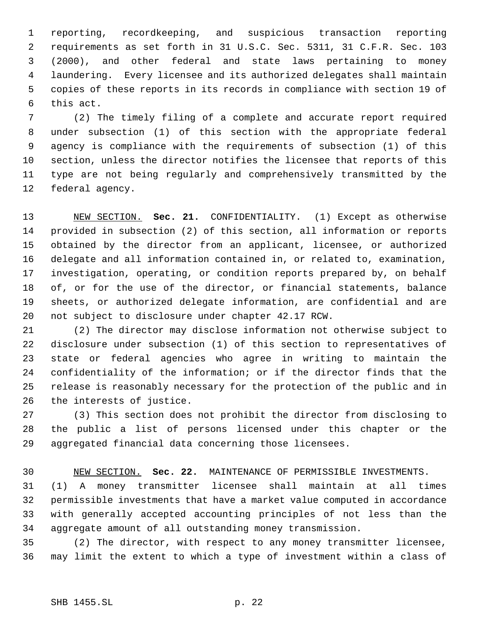reporting, recordkeeping, and suspicious transaction reporting requirements as set forth in 31 U.S.C. Sec. 5311, 31 C.F.R. Sec. 103 (2000), and other federal and state laws pertaining to money laundering. Every licensee and its authorized delegates shall maintain copies of these reports in its records in compliance with section 19 of this act.

 (2) The timely filing of a complete and accurate report required under subsection (1) of this section with the appropriate federal agency is compliance with the requirements of subsection (1) of this section, unless the director notifies the licensee that reports of this type are not being regularly and comprehensively transmitted by the federal agency.

 NEW SECTION. **Sec. 21.** CONFIDENTIALITY. (1) Except as otherwise provided in subsection (2) of this section, all information or reports obtained by the director from an applicant, licensee, or authorized delegate and all information contained in, or related to, examination, investigation, operating, or condition reports prepared by, on behalf of, or for the use of the director, or financial statements, balance sheets, or authorized delegate information, are confidential and are not subject to disclosure under chapter 42.17 RCW.

 (2) The director may disclose information not otherwise subject to disclosure under subsection (1) of this section to representatives of state or federal agencies who agree in writing to maintain the confidentiality of the information; or if the director finds that the release is reasonably necessary for the protection of the public and in the interests of justice.

 (3) This section does not prohibit the director from disclosing to the public a list of persons licensed under this chapter or the aggregated financial data concerning those licensees.

NEW SECTION. **Sec. 22.** MAINTENANCE OF PERMISSIBLE INVESTMENTS.

 (1) A money transmitter licensee shall maintain at all times permissible investments that have a market value computed in accordance with generally accepted accounting principles of not less than the aggregate amount of all outstanding money transmission.

 (2) The director, with respect to any money transmitter licensee, may limit the extent to which a type of investment within a class of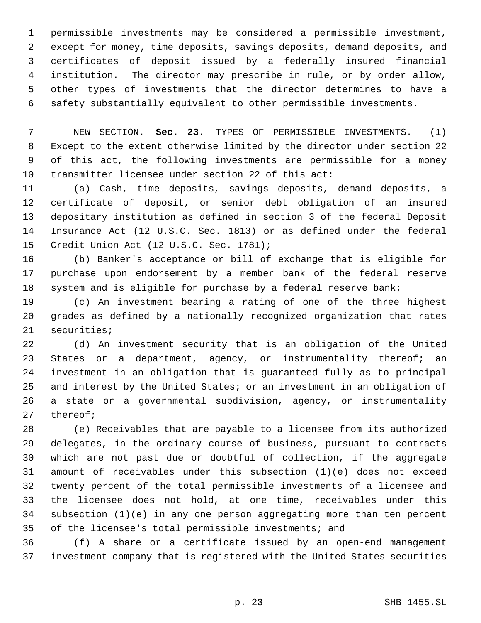permissible investments may be considered a permissible investment, except for money, time deposits, savings deposits, demand deposits, and certificates of deposit issued by a federally insured financial institution. The director may prescribe in rule, or by order allow, other types of investments that the director determines to have a safety substantially equivalent to other permissible investments.

 NEW SECTION. **Sec. 23.** TYPES OF PERMISSIBLE INVESTMENTS. (1) Except to the extent otherwise limited by the director under section 22 of this act, the following investments are permissible for a money transmitter licensee under section 22 of this act:

 (a) Cash, time deposits, savings deposits, demand deposits, a certificate of deposit, or senior debt obligation of an insured depositary institution as defined in section 3 of the federal Deposit Insurance Act (12 U.S.C. Sec. 1813) or as defined under the federal Credit Union Act (12 U.S.C. Sec. 1781);

 (b) Banker's acceptance or bill of exchange that is eligible for purchase upon endorsement by a member bank of the federal reserve system and is eligible for purchase by a federal reserve bank;

 (c) An investment bearing a rating of one of the three highest grades as defined by a nationally recognized organization that rates securities;

 (d) An investment security that is an obligation of the United 23 States or a department, agency, or instrumentality thereof; an investment in an obligation that is guaranteed fully as to principal and interest by the United States; or an investment in an obligation of a state or a governmental subdivision, agency, or instrumentality thereof;

 (e) Receivables that are payable to a licensee from its authorized delegates, in the ordinary course of business, pursuant to contracts which are not past due or doubtful of collection, if the aggregate amount of receivables under this subsection (1)(e) does not exceed twenty percent of the total permissible investments of a licensee and the licensee does not hold, at one time, receivables under this subsection (1)(e) in any one person aggregating more than ten percent of the licensee's total permissible investments; and

 (f) A share or a certificate issued by an open-end management investment company that is registered with the United States securities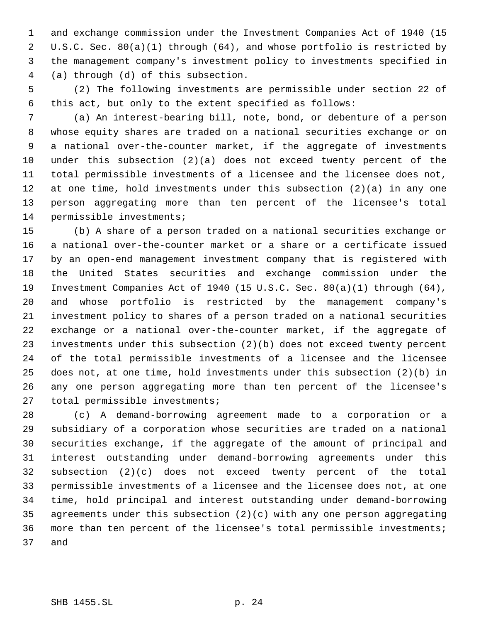and exchange commission under the Investment Companies Act of 1940 (15 U.S.C. Sec. 80(a)(1) through (64), and whose portfolio is restricted by the management company's investment policy to investments specified in (a) through (d) of this subsection.

 (2) The following investments are permissible under section 22 of this act, but only to the extent specified as follows:

 (a) An interest-bearing bill, note, bond, or debenture of a person whose equity shares are traded on a national securities exchange or on a national over-the-counter market, if the aggregate of investments under this subsection (2)(a) does not exceed twenty percent of the total permissible investments of a licensee and the licensee does not, at one time, hold investments under this subsection (2)(a) in any one person aggregating more than ten percent of the licensee's total permissible investments;

 (b) A share of a person traded on a national securities exchange or a national over-the-counter market or a share or a certificate issued by an open-end management investment company that is registered with the United States securities and exchange commission under the Investment Companies Act of 1940 (15 U.S.C. Sec. 80(a)(1) through (64), and whose portfolio is restricted by the management company's investment policy to shares of a person traded on a national securities exchange or a national over-the-counter market, if the aggregate of investments under this subsection (2)(b) does not exceed twenty percent of the total permissible investments of a licensee and the licensee does not, at one time, hold investments under this subsection (2)(b) in any one person aggregating more than ten percent of the licensee's total permissible investments;

 (c) A demand-borrowing agreement made to a corporation or a subsidiary of a corporation whose securities are traded on a national securities exchange, if the aggregate of the amount of principal and interest outstanding under demand-borrowing agreements under this subsection (2)(c) does not exceed twenty percent of the total permissible investments of a licensee and the licensee does not, at one time, hold principal and interest outstanding under demand-borrowing agreements under this subsection (2)(c) with any one person aggregating more than ten percent of the licensee's total permissible investments; and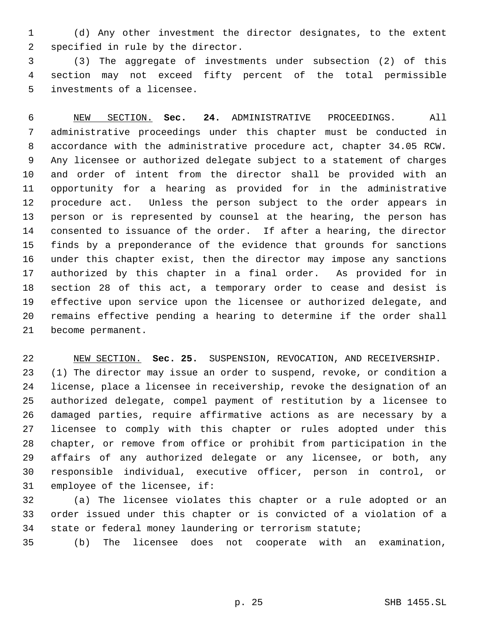(d) Any other investment the director designates, to the extent specified in rule by the director.

 (3) The aggregate of investments under subsection (2) of this section may not exceed fifty percent of the total permissible investments of a licensee.

 NEW SECTION. **Sec. 24.** ADMINISTRATIVE PROCEEDINGS. All administrative proceedings under this chapter must be conducted in accordance with the administrative procedure act, chapter 34.05 RCW. Any licensee or authorized delegate subject to a statement of charges and order of intent from the director shall be provided with an opportunity for a hearing as provided for in the administrative procedure act. Unless the person subject to the order appears in person or is represented by counsel at the hearing, the person has consented to issuance of the order. If after a hearing, the director finds by a preponderance of the evidence that grounds for sanctions under this chapter exist, then the director may impose any sanctions authorized by this chapter in a final order. As provided for in section 28 of this act, a temporary order to cease and desist is effective upon service upon the licensee or authorized delegate, and remains effective pending a hearing to determine if the order shall become permanent.

 NEW SECTION. **Sec. 25.** SUSPENSION, REVOCATION, AND RECEIVERSHIP. (1) The director may issue an order to suspend, revoke, or condition a license, place a licensee in receivership, revoke the designation of an authorized delegate, compel payment of restitution by a licensee to damaged parties, require affirmative actions as are necessary by a licensee to comply with this chapter or rules adopted under this chapter, or remove from office or prohibit from participation in the affairs of any authorized delegate or any licensee, or both, any responsible individual, executive officer, person in control, or employee of the licensee, if:

 (a) The licensee violates this chapter or a rule adopted or an order issued under this chapter or is convicted of a violation of a state or federal money laundering or terrorism statute;

(b) The licensee does not cooperate with an examination,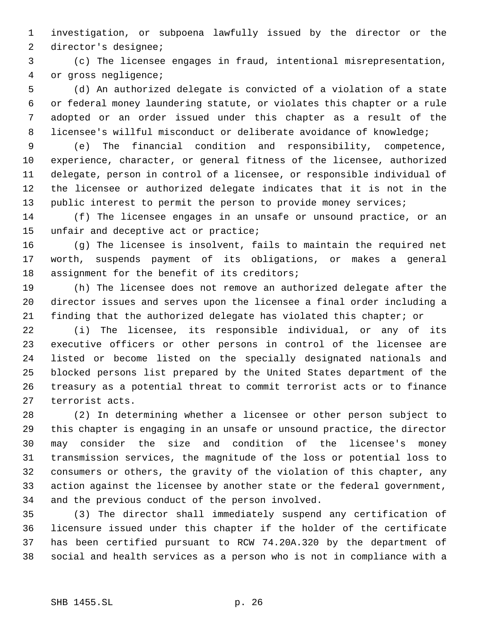investigation, or subpoena lawfully issued by the director or the director's designee;

 (c) The licensee engages in fraud, intentional misrepresentation, or gross negligence;

 (d) An authorized delegate is convicted of a violation of a state or federal money laundering statute, or violates this chapter or a rule adopted or an order issued under this chapter as a result of the licensee's willful misconduct or deliberate avoidance of knowledge;

 (e) The financial condition and responsibility, competence, experience, character, or general fitness of the licensee, authorized delegate, person in control of a licensee, or responsible individual of the licensee or authorized delegate indicates that it is not in the 13 public interest to permit the person to provide money services;

 (f) The licensee engages in an unsafe or unsound practice, or an 15 unfair and deceptive act or practice;

 (g) The licensee is insolvent, fails to maintain the required net worth, suspends payment of its obligations, or makes a general assignment for the benefit of its creditors;

 (h) The licensee does not remove an authorized delegate after the director issues and serves upon the licensee a final order including a finding that the authorized delegate has violated this chapter; or

 (i) The licensee, its responsible individual, or any of its executive officers or other persons in control of the licensee are listed or become listed on the specially designated nationals and blocked persons list prepared by the United States department of the treasury as a potential threat to commit terrorist acts or to finance terrorist acts.

 (2) In determining whether a licensee or other person subject to this chapter is engaging in an unsafe or unsound practice, the director may consider the size and condition of the licensee's money transmission services, the magnitude of the loss or potential loss to consumers or others, the gravity of the violation of this chapter, any action against the licensee by another state or the federal government, and the previous conduct of the person involved.

 (3) The director shall immediately suspend any certification of licensure issued under this chapter if the holder of the certificate has been certified pursuant to RCW 74.20A.320 by the department of social and health services as a person who is not in compliance with a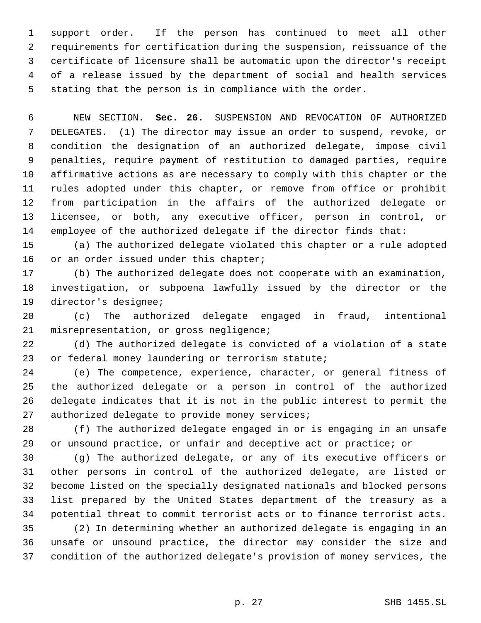support order. If the person has continued to meet all other requirements for certification during the suspension, reissuance of the certificate of licensure shall be automatic upon the director's receipt of a release issued by the department of social and health services stating that the person is in compliance with the order.

 NEW SECTION. **Sec. 26.** SUSPENSION AND REVOCATION OF AUTHORIZED DELEGATES. (1) The director may issue an order to suspend, revoke, or condition the designation of an authorized delegate, impose civil penalties, require payment of restitution to damaged parties, require affirmative actions as are necessary to comply with this chapter or the rules adopted under this chapter, or remove from office or prohibit from participation in the affairs of the authorized delegate or licensee, or both, any executive officer, person in control, or employee of the authorized delegate if the director finds that:

 (a) The authorized delegate violated this chapter or a rule adopted 16 or an order issued under this chapter;

 (b) The authorized delegate does not cooperate with an examination, investigation, or subpoena lawfully issued by the director or the director's designee;

 (c) The authorized delegate engaged in fraud, intentional misrepresentation, or gross negligence;

 (d) The authorized delegate is convicted of a violation of a state or federal money laundering or terrorism statute;

 (e) The competence, experience, character, or general fitness of the authorized delegate or a person in control of the authorized delegate indicates that it is not in the public interest to permit the 27 authorized delegate to provide money services;

 (f) The authorized delegate engaged in or is engaging in an unsafe or unsound practice, or unfair and deceptive act or practice; or

 (g) The authorized delegate, or any of its executive officers or other persons in control of the authorized delegate, are listed or become listed on the specially designated nationals and blocked persons list prepared by the United States department of the treasury as a potential threat to commit terrorist acts or to finance terrorist acts.

 (2) In determining whether an authorized delegate is engaging in an unsafe or unsound practice, the director may consider the size and condition of the authorized delegate's provision of money services, the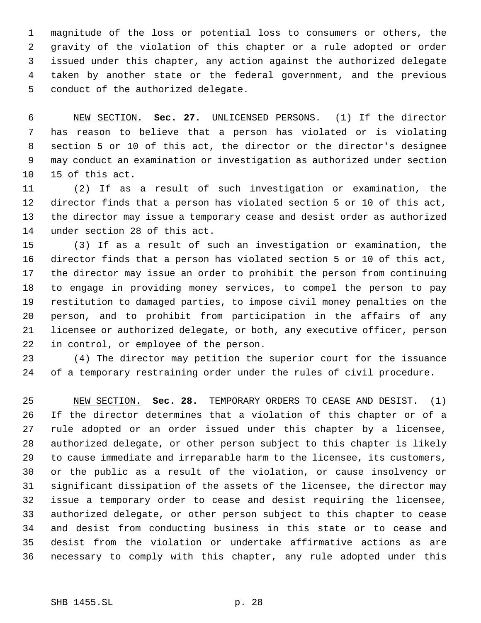magnitude of the loss or potential loss to consumers or others, the gravity of the violation of this chapter or a rule adopted or order issued under this chapter, any action against the authorized delegate taken by another state or the federal government, and the previous conduct of the authorized delegate.

 NEW SECTION. **Sec. 27.** UNLICENSED PERSONS. (1) If the director has reason to believe that a person has violated or is violating section 5 or 10 of this act, the director or the director's designee may conduct an examination or investigation as authorized under section 15 of this act.

 (2) If as a result of such investigation or examination, the director finds that a person has violated section 5 or 10 of this act, the director may issue a temporary cease and desist order as authorized under section 28 of this act.

 (3) If as a result of such an investigation or examination, the director finds that a person has violated section 5 or 10 of this act, the director may issue an order to prohibit the person from continuing to engage in providing money services, to compel the person to pay restitution to damaged parties, to impose civil money penalties on the person, and to prohibit from participation in the affairs of any licensee or authorized delegate, or both, any executive officer, person in control, or employee of the person.

 (4) The director may petition the superior court for the issuance of a temporary restraining order under the rules of civil procedure.

 NEW SECTION. **Sec. 28.** TEMPORARY ORDERS TO CEASE AND DESIST. (1) If the director determines that a violation of this chapter or of a rule adopted or an order issued under this chapter by a licensee, authorized delegate, or other person subject to this chapter is likely to cause immediate and irreparable harm to the licensee, its customers, or the public as a result of the violation, or cause insolvency or significant dissipation of the assets of the licensee, the director may issue a temporary order to cease and desist requiring the licensee, authorized delegate, or other person subject to this chapter to cease and desist from conducting business in this state or to cease and desist from the violation or undertake affirmative actions as are necessary to comply with this chapter, any rule adopted under this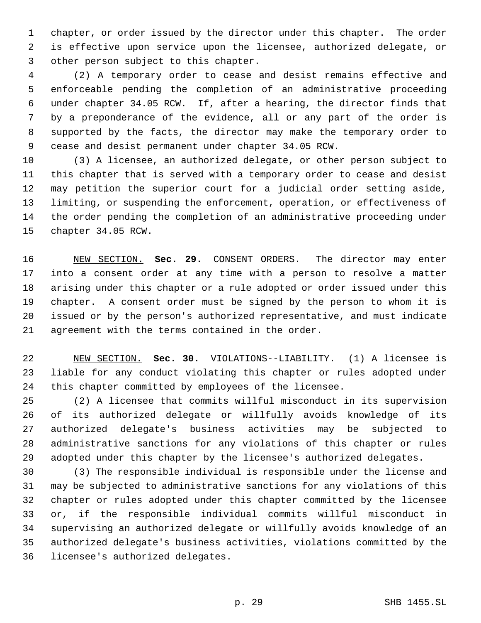chapter, or order issued by the director under this chapter. The order is effective upon service upon the licensee, authorized delegate, or other person subject to this chapter.

 (2) A temporary order to cease and desist remains effective and enforceable pending the completion of an administrative proceeding under chapter 34.05 RCW. If, after a hearing, the director finds that by a preponderance of the evidence, all or any part of the order is supported by the facts, the director may make the temporary order to cease and desist permanent under chapter 34.05 RCW.

 (3) A licensee, an authorized delegate, or other person subject to this chapter that is served with a temporary order to cease and desist may petition the superior court for a judicial order setting aside, limiting, or suspending the enforcement, operation, or effectiveness of the order pending the completion of an administrative proceeding under chapter 34.05 RCW.

 NEW SECTION. **Sec. 29.** CONSENT ORDERS. The director may enter into a consent order at any time with a person to resolve a matter arising under this chapter or a rule adopted or order issued under this chapter. A consent order must be signed by the person to whom it is issued or by the person's authorized representative, and must indicate agreement with the terms contained in the order.

 NEW SECTION. **Sec. 30.** VIOLATIONS--LIABILITY. (1) A licensee is liable for any conduct violating this chapter or rules adopted under this chapter committed by employees of the licensee.

 (2) A licensee that commits willful misconduct in its supervision of its authorized delegate or willfully avoids knowledge of its authorized delegate's business activities may be subjected to administrative sanctions for any violations of this chapter or rules adopted under this chapter by the licensee's authorized delegates.

 (3) The responsible individual is responsible under the license and may be subjected to administrative sanctions for any violations of this chapter or rules adopted under this chapter committed by the licensee or, if the responsible individual commits willful misconduct in supervising an authorized delegate or willfully avoids knowledge of an authorized delegate's business activities, violations committed by the licensee's authorized delegates.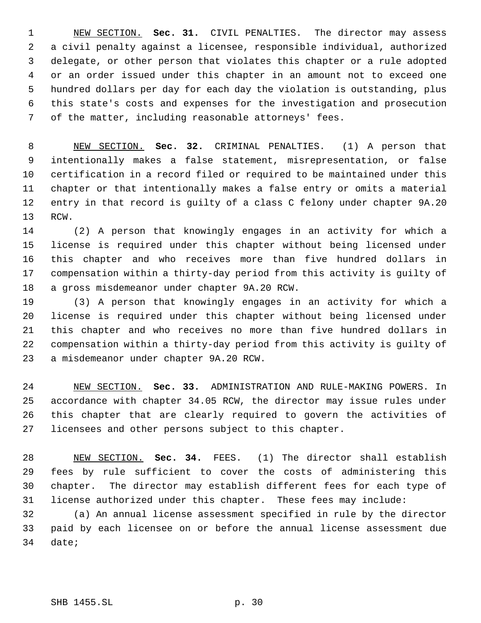NEW SECTION. **Sec. 31.** CIVIL PENALTIES. The director may assess a civil penalty against a licensee, responsible individual, authorized delegate, or other person that violates this chapter or a rule adopted or an order issued under this chapter in an amount not to exceed one hundred dollars per day for each day the violation is outstanding, plus this state's costs and expenses for the investigation and prosecution of the matter, including reasonable attorneys' fees.

 NEW SECTION. **Sec. 32.** CRIMINAL PENALTIES. (1) A person that intentionally makes a false statement, misrepresentation, or false certification in a record filed or required to be maintained under this chapter or that intentionally makes a false entry or omits a material entry in that record is guilty of a class C felony under chapter 9A.20 RCW.

 (2) A person that knowingly engages in an activity for which a license is required under this chapter without being licensed under this chapter and who receives more than five hundred dollars in compensation within a thirty-day period from this activity is guilty of a gross misdemeanor under chapter 9A.20 RCW.

 (3) A person that knowingly engages in an activity for which a license is required under this chapter without being licensed under this chapter and who receives no more than five hundred dollars in compensation within a thirty-day period from this activity is guilty of a misdemeanor under chapter 9A.20 RCW.

 NEW SECTION. **Sec. 33.** ADMINISTRATION AND RULE-MAKING POWERS. In accordance with chapter 34.05 RCW, the director may issue rules under this chapter that are clearly required to govern the activities of licensees and other persons subject to this chapter.

 NEW SECTION. **Sec. 34.** FEES. (1) The director shall establish fees by rule sufficient to cover the costs of administering this chapter. The director may establish different fees for each type of license authorized under this chapter. These fees may include:

 (a) An annual license assessment specified in rule by the director paid by each licensee on or before the annual license assessment due date;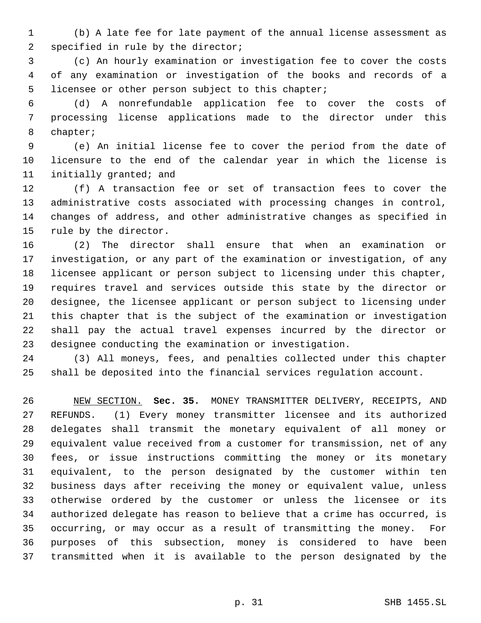(b) A late fee for late payment of the annual license assessment as specified in rule by the director;

 (c) An hourly examination or investigation fee to cover the costs of any examination or investigation of the books and records of a licensee or other person subject to this chapter;

 (d) A nonrefundable application fee to cover the costs of processing license applications made to the director under this chapter;

 (e) An initial license fee to cover the period from the date of licensure to the end of the calendar year in which the license is initially granted; and

 (f) A transaction fee or set of transaction fees to cover the administrative costs associated with processing changes in control, changes of address, and other administrative changes as specified in rule by the director.

 (2) The director shall ensure that when an examination or investigation, or any part of the examination or investigation, of any licensee applicant or person subject to licensing under this chapter, requires travel and services outside this state by the director or designee, the licensee applicant or person subject to licensing under this chapter that is the subject of the examination or investigation shall pay the actual travel expenses incurred by the director or designee conducting the examination or investigation.

 (3) All moneys, fees, and penalties collected under this chapter shall be deposited into the financial services regulation account.

 NEW SECTION. **Sec. 35.** MONEY TRANSMITTER DELIVERY, RECEIPTS, AND REFUNDS. (1) Every money transmitter licensee and its authorized delegates shall transmit the monetary equivalent of all money or equivalent value received from a customer for transmission, net of any fees, or issue instructions committing the money or its monetary equivalent, to the person designated by the customer within ten business days after receiving the money or equivalent value, unless otherwise ordered by the customer or unless the licensee or its authorized delegate has reason to believe that a crime has occurred, is occurring, or may occur as a result of transmitting the money. For purposes of this subsection, money is considered to have been transmitted when it is available to the person designated by the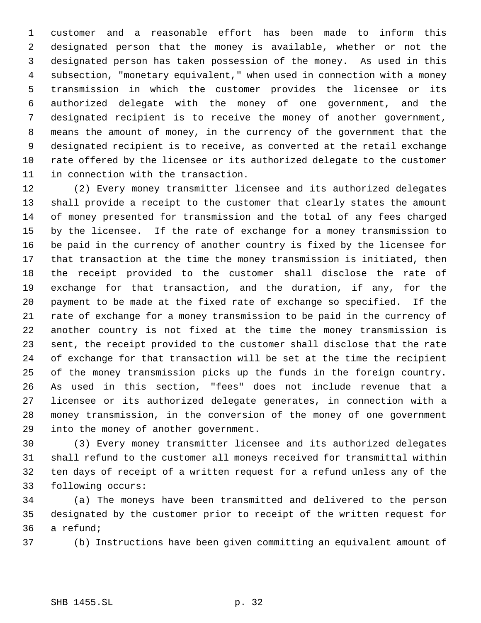customer and a reasonable effort has been made to inform this designated person that the money is available, whether or not the designated person has taken possession of the money. As used in this subsection, "monetary equivalent," when used in connection with a money transmission in which the customer provides the licensee or its authorized delegate with the money of one government, and the designated recipient is to receive the money of another government, means the amount of money, in the currency of the government that the designated recipient is to receive, as converted at the retail exchange rate offered by the licensee or its authorized delegate to the customer in connection with the transaction.

 (2) Every money transmitter licensee and its authorized delegates shall provide a receipt to the customer that clearly states the amount of money presented for transmission and the total of any fees charged by the licensee. If the rate of exchange for a money transmission to be paid in the currency of another country is fixed by the licensee for that transaction at the time the money transmission is initiated, then the receipt provided to the customer shall disclose the rate of exchange for that transaction, and the duration, if any, for the payment to be made at the fixed rate of exchange so specified. If the rate of exchange for a money transmission to be paid in the currency of another country is not fixed at the time the money transmission is sent, the receipt provided to the customer shall disclose that the rate of exchange for that transaction will be set at the time the recipient of the money transmission picks up the funds in the foreign country. As used in this section, "fees" does not include revenue that a licensee or its authorized delegate generates, in connection with a money transmission, in the conversion of the money of one government into the money of another government.

 (3) Every money transmitter licensee and its authorized delegates shall refund to the customer all moneys received for transmittal within ten days of receipt of a written request for a refund unless any of the following occurs:

 (a) The moneys have been transmitted and delivered to the person designated by the customer prior to receipt of the written request for a refund;

(b) Instructions have been given committing an equivalent amount of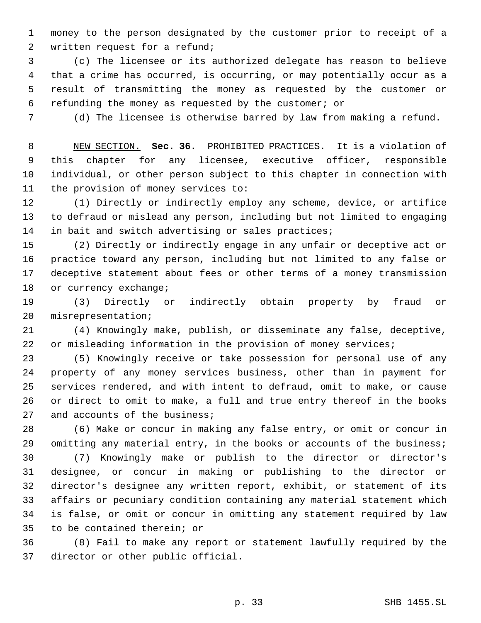money to the person designated by the customer prior to receipt of a written request for a refund;

 (c) The licensee or its authorized delegate has reason to believe that a crime has occurred, is occurring, or may potentially occur as a result of transmitting the money as requested by the customer or refunding the money as requested by the customer; or

(d) The licensee is otherwise barred by law from making a refund.

 NEW SECTION. **Sec. 36.** PROHIBITED PRACTICES. It is a violation of this chapter for any licensee, executive officer, responsible individual, or other person subject to this chapter in connection with the provision of money services to:

 (1) Directly or indirectly employ any scheme, device, or artifice to defraud or mislead any person, including but not limited to engaging 14 in bait and switch advertising or sales practices;

 (2) Directly or indirectly engage in any unfair or deceptive act or practice toward any person, including but not limited to any false or deceptive statement about fees or other terms of a money transmission 18 or currency exchange;

 (3) Directly or indirectly obtain property by fraud or misrepresentation;

 (4) Knowingly make, publish, or disseminate any false, deceptive, or misleading information in the provision of money services;

 (5) Knowingly receive or take possession for personal use of any property of any money services business, other than in payment for services rendered, and with intent to defraud, omit to make, or cause or direct to omit to make, a full and true entry thereof in the books 27 and accounts of the business;

 (6) Make or concur in making any false entry, or omit or concur in omitting any material entry, in the books or accounts of the business;

 (7) Knowingly make or publish to the director or director's designee, or concur in making or publishing to the director or director's designee any written report, exhibit, or statement of its affairs or pecuniary condition containing any material statement which is false, or omit or concur in omitting any statement required by law to be contained therein; or

 (8) Fail to make any report or statement lawfully required by the director or other public official.